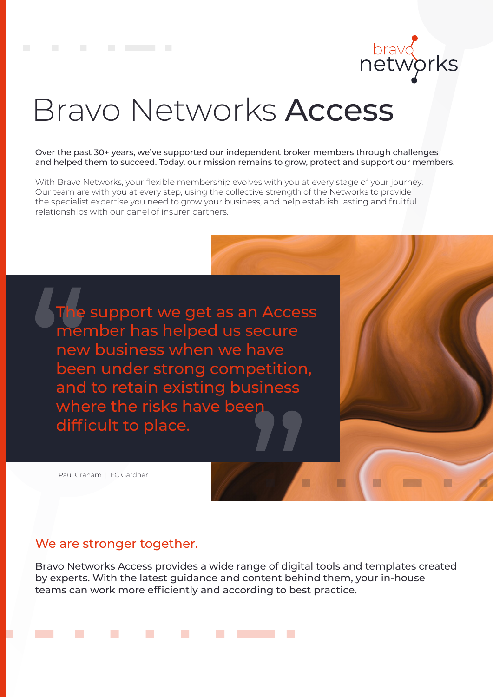

# Bravo Networks Access

Over the past 30+ years, we've supported our independent broker members through challenges and helped them to succeed. Today, our mission remains to grow, protect and support our members.

With Bravo Networks, your flexible membership evolves with you at every stage of your journey. Our team are with you at every step, using the collective strength of the Networks to provide the specialist expertise you need to grow your business, and help establish lasting and fruitful relationships with our panel of insurer partners.

The support we get as an Access member has helped us secure new business when we have been under strong competition, and to retain existing business where the risks have been difficult to place.

Paul Graham | FC Gardner

## We are stronger together.

Bravo Networks Access provides a wide range of digital tools and templates created by experts. With the latest guidance and content behind them, your in-house teams can work more efficiently and according to best practice.

m